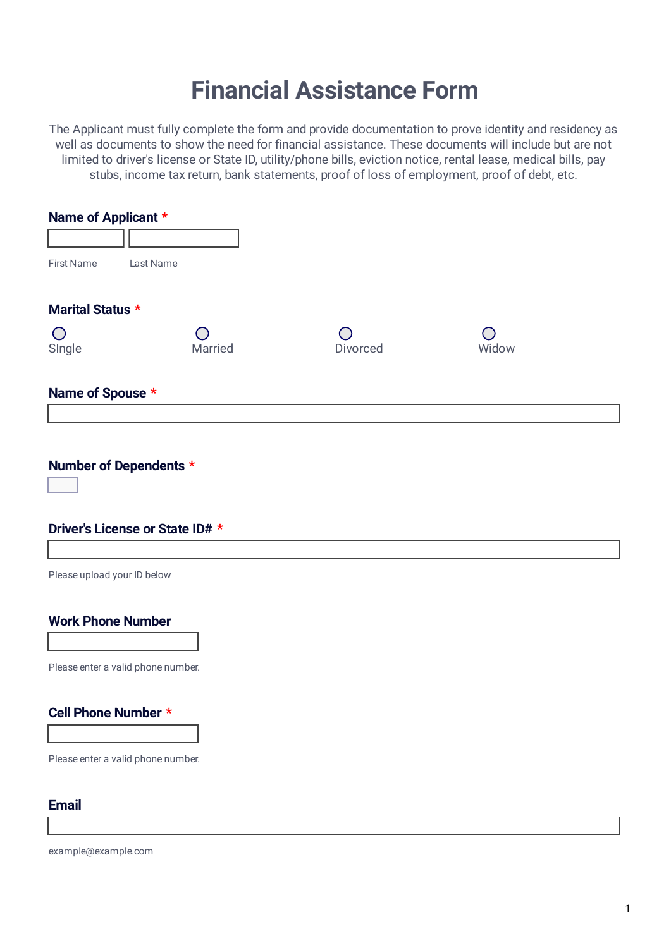# **Financial Assistance Form**

The Applicant must fully complete the form and provide documentation to prove identity and residency as well as documents to show the need for financial assistance. These documents will include but are not limited to driver's license or State ID, utility/phone bills, eviction notice, rental lease, medical bills, pay stubs, income tax return, bank statements, proof of loss of employment, proof of debt, etc.

| Name of Applicant *                                       |                                    |          |       |  |  |
|-----------------------------------------------------------|------------------------------------|----------|-------|--|--|
|                                                           |                                    |          |       |  |  |
| <b>First Name</b>                                         | Last Name                          |          |       |  |  |
| Marital Status *                                          |                                    |          |       |  |  |
| $\bigcirc$<br>Single                                      | Married                            | Divorced | Widow |  |  |
| Name of Spouse *                                          |                                    |          |       |  |  |
| Number of Dependents *<br>Driver's License or State ID# * |                                    |          |       |  |  |
|                                                           |                                    |          |       |  |  |
| Please upload your ID below                               |                                    |          |       |  |  |
| <b>Work Phone Number</b>                                  | Please enter a valid phone number. |          |       |  |  |
| Cell Phone Number *                                       |                                    |          |       |  |  |
|                                                           | Please enter a valid phone number. |          |       |  |  |
| <b>Email</b>                                              |                                    |          |       |  |  |
|                                                           |                                    |          |       |  |  |

example@example.com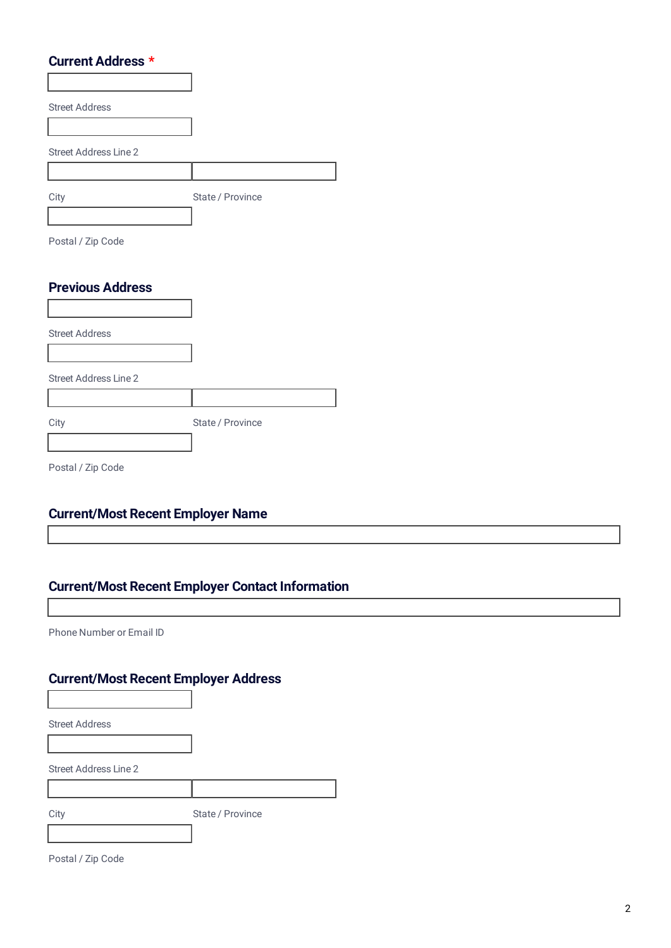#### **Current Address \***

| <b>Street Address</b>        |                  |
|------------------------------|------------------|
|                              |                  |
| <b>Street Address Line 2</b> |                  |
|                              |                  |
| City                         | State / Province |
|                              |                  |
| Postal / Zip Code            |                  |
| <b>Previous Address</b>      |                  |
|                              |                  |

Street Address Street Address Line 2 City **State / Province** 

Postal / Zip Code

#### **Current/Most Recent Employer Name**

#### **Current/Most Recent Employer Contact Information**

Phone Number or Email ID

#### **Current/Most Recent Employer Address**

Street Address Line 2

City **State / Province** 

Postal / Zip Code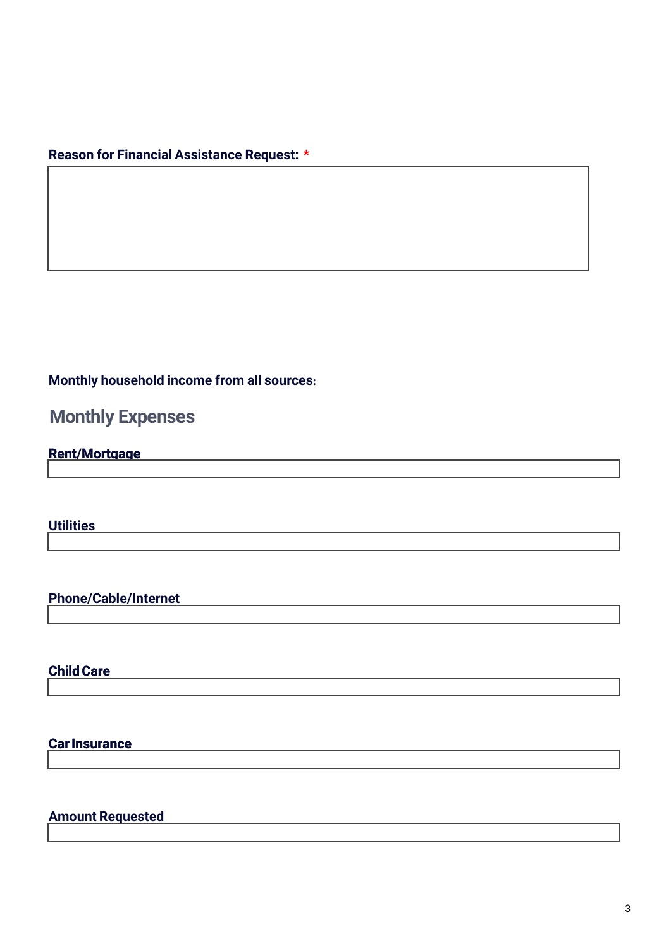#### **Reason for Financial Assistance Request: \***

#### **Monthly household income from all sources:**

## **Monthly Expenses**

#### **Rent/Mortgage R**

**Utilities**

**Phone/Cable/Internet**

**Child Care** 

#### **Car Insurance I***I*

**Amount Requested**